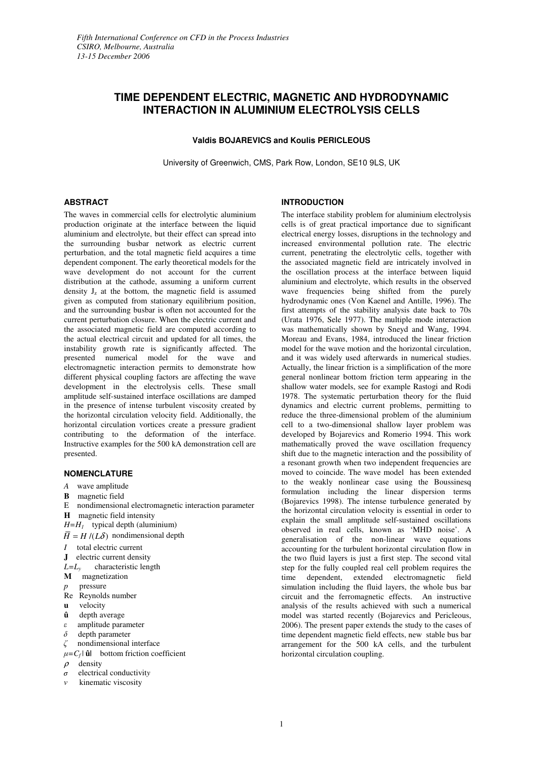# **TIME DEPENDENT ELECTRIC, MAGNETIC AND HYDRODYNAMIC INTERACTION IN ALUMINIUM ELECTROLYSIS CELLS**

# **Valdis BOJAREVICS and Koulis PERICLEOUS**

University of Greenwich, CMS, Park Row, London, SE10 9LS, UK

# **ABSTRACT**

The waves in commercial cells for electrolytic aluminium production originate at the interface between the liquid aluminium and electrolyte, but their effect can spread into the surrounding busbar network as electric current perturbation, and the total magnetic field acquires a time dependent component. The early theoretical models for the wave development do not account for the current distribution at the cathode, assuming a uniform current density  $J_z$  at the bottom, the magnetic field is assumed given as computed from stationary equilibrium position, and the surrounding busbar is often not accounted for the current perturbation closure. When the electric current and the associated magnetic field are computed according to the actual electrical circuit and updated for all times, the instability growth rate is significantly affected. The presented numerical model for the wave and electromagnetic interaction permits to demonstrate how different physical coupling factors are affecting the wave development in the electrolysis cells. These small amplitude self-sustained interface oscillations are damped in the presence of intense turbulent viscosity created by the horizontal circulation velocity field. Additionally, the horizontal circulation vortices create a pressure gradient contributing to the deformation of the interface. Instructive examples for the 500 kA demonstration cell are presented.

## **NOMENCLATURE**

- *A* wave amplitude
- **B** magnetic field
- E nondimensional electromagnetic interaction parameter
- **H** magnetic field intensity
- *H=H<sup>1</sup>* typical depth (aluminium)
- $\overline{H} = H/(L\delta)$  nondimensional depth
- *I* total electric current
- **J** electric current density
- $L=L$ <sup>*y*</sup> characteristic length
- **M** magnetization
- *p* pressure
- Re Reynolds number
- **u** velocity
- **û** depth average
- <sup>ε</sup> amplitude parameter
- <sup>δ</sup> depth parameter
- <sup>ζ</sup> nondimensional interface
- $\mu = C_f |\mathbf{\hat{u}}|$  bottom friction coefficient
- $\rho$  density
- <sup>σ</sup> electrical conductivit*y*
- kinematic viscosity

## **INTRODUCTION**

The interface stability problem for aluminium electrolysis cells is of great practical importance due to significant electrical energy losses, disruptions in the technology and increased environmental pollution rate. The electric current, penetrating the electrolytic cells, together with the associated magnetic field are intricately involved in the oscillation process at the interface between liquid aluminium and electrolyte, which results in the observed wave frequencies being shifted from the purely hydrodynamic ones (Von Kaenel and Antille, 1996). The first attempts of the stability analysis date back to 70s (Urata 1976, Sele 1977). The multiple mode interaction was mathematically shown by Sneyd and Wang, 1994. Moreau and Evans, 1984, introduced the linear friction model for the wave motion and the horizontal circulation, and it was widely used afterwards in numerical studies. Actually, the linear friction is a simplification of the more general nonlinear bottom friction term appearing in the shallow water models, see for example Rastogi and Rodi 1978. The systematic perturbation theory for the fluid dynamics and electric current problems, permitting to reduce the three-dimensional problem of the aluminium cell to a two-dimensional shallow layer problem was developed by Bojarevics and Romerio 1994. This work mathematically proved the wave oscillation frequency shift due to the magnetic interaction and the possibility of a resonant growth when two independent frequencies are moved to coincide. The wave model has been extended to the weakly nonlinear case using the Boussinesq formulation including the linear dispersion terms (Bojarevics 1998). The intense turbulence generated by the horizontal circulation velocity is essential in order to explain the small amplitude self-sustained oscillations observed in real cells, known as 'MHD noise'. A generalisation of the non-linear wave equations accounting for the turbulent horizontal circulation flow in the two fluid layers is just a first step. The second vital step for the fully coupled real cell problem requires the time dependent, extended electromagnetic field simulation including the fluid layers, the whole bus bar circuit and the ferromagnetic effects. An instructive analysis of the results achieved with such a numerical model was started recently (Bojarevics and Pericleous, 2006). The present paper extends the study to the cases of time dependent magnetic field effects, new stable bus bar arrangement for the 500 kA cells, and the turbulent horizontal circulation coupling.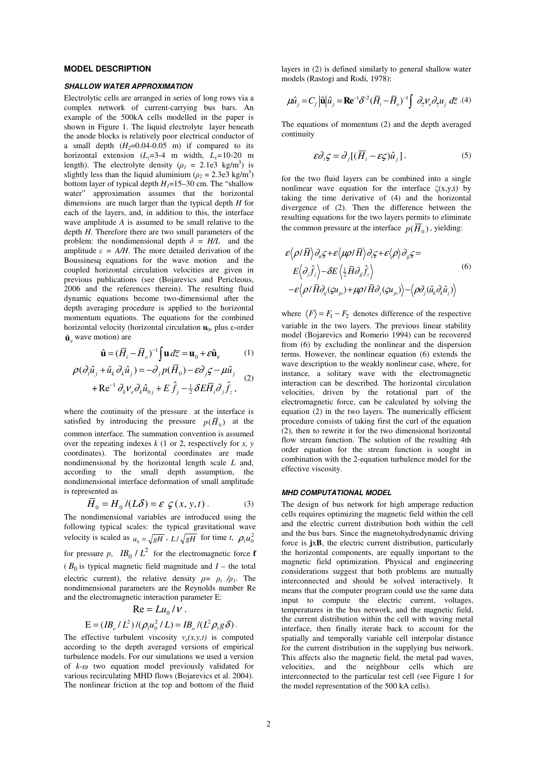# **MODEL DESCRIPTION**

#### *SHALLOW WATER APPROXIMATION*

Electrolytic cells are arranged in series of long rows via a complex network of current-carrying bus bars. An example of the 500kA cells modelled in the paper is shown in Figure 1. The liquid electrolyte layer beneath the anode blocks is relatively poor electrical conductor of a small depth  $(H_2=0.04-0.05$  m) if compared to its horizontal extension  $(L_x=3-4$  m width,  $L_x=10-20$  m length). The electrolyte density ( $\rho_1 = 2.1e^2$  kg/m<sup>3</sup>) is slightly less than the liquid aluminium  $(\rho_2 = 2.3e^2 \text{ kg/m}^3)$ bottom layer of typical depth  $H_1 = 15-30$  cm. The "shallow water" approximation assumes that the horizontal dimensions are much larger than the typical depth *H* for each of the layers, and, in addition to this, the interface wave amplitude *A* is assumed to be small relative to the depth *H*. Therefore there are two small parameters of the problem: the nondimensional depth  $\delta = H/L$  and the amplitude  $\varepsilon = A/H$ . The more detailed derivation of the Boussinesq equations for the wave motion and the coupled horizontal circulation velocities are given in previous publications (see (Bojarevics and Pericleous, 2006 and the references therein). The resulting fluid dynamic equations become two-dimensional after the depth averaging procedure is applied to the horizontal momentum equations. The equations for the combined horizontal velocity (horizontal circulation **u**<sup>0</sup> , plus <sup>ε</sup> -order  $\hat{\mathbf{u}}_{\varepsilon}$  wave motion) are

$$
\hat{\mathbf{u}} = (\overline{H}_i - \overline{H}_o)^{-1} \int \mathbf{u} \, d\overline{z} = \mathbf{u}_0 + \varepsilon \hat{\mathbf{u}}_{\varepsilon} \tag{1}
$$

$$
\rho(\partial_i \hat{u}_j + \hat{u}_k \partial_k \hat{u}_j) = -\partial_j p(\overline{H}_0) - \varepsilon \partial_j \varsigma - \mu \hat{u}_j
$$
  
+ Re<sup>-1</sup>  $\partial_k v_e \partial_k \hat{u}_{0j} + E \hat{f}_j - \frac{1}{2} \delta E \overline{H}_i \partial_j \hat{f}_z$ , (2)

where the continuity of the pressure at the interface is satisfied by introducing the pressure  $p(\overline{H}_0)$  at the common interface. The summation convention is assumed over the repeating indexes *k* (1 or 2, respectively for *x, y*  coordinates). The horizontal coordinates are made nondimensional by the horizontal length scale *L* and, according to the small depth assumption, the nondimensional interface deformation of small amplitude is represented as

$$
\overline{H}_0 = H_0 / (L\delta) = \varepsilon \zeta(x, y, t).
$$
 (3)

The nondimensional variables are introduced using the following typical scales: the typical gravitational wave velocity is scaled as  $u_0 = \sqrt{gH} \cdot L/\sqrt{gH}$  for time *t*,  $\rho_1 u_0^2$ for pressure p,  $IB_0 / L^2$  for the electromagnetic force **f**  $(B_0)$  is typical magnetic field magnitude and  $I$  – the total electric current), the relative density  $\rho = \rho_i / \rho_i$ . The nondimensional parameters are the Reynolds number Re and the electromagnetic interaction parameter E:

$$
\text{Re} = L u_0 / V ,
$$
  
 
$$
\text{E} = (IB_{o} / L^{2}) / (\rho_{1} u_{0}^{2} / L) = IB_{o} / (L^{2} \rho_{1} g \delta) .
$$

The effective turbulent viscosity  $v_e(x, y, t)$  is computed according to the depth averaged versions of empirical turbulence models. For our simulations we used a version of *k-* <sup>ω</sup> two equation model previously validated for various recirculating MHD flows (Bojarevics et al. 2004). The nonlinear friction at the top and bottom of the fluid

layers in (2) is defined similarly to general shallow water models (Rastogi and Rodi, 1978):

$$
\mu \hat{u}_j = C_f |\hat{\mathbf{u}}| \hat{u}_j = \mathbf{R} \mathbf{e}^{-1} \delta^{-2} (\bar{H}_i - \bar{H}_o)^{-1} \int \partial_{\bar{z}} V_e \partial_{\bar{z}} u_j \ d\bar{z} \ . (4)
$$

The equations of momentum (2) and the depth averaged continuity

$$
\varepsilon \partial_i \zeta = \partial_j [(\overline{H}_i - \varepsilon \zeta) \hat{u}_j], \qquad (5)
$$

for the two fluid layers can be combined into a single nonlinear wave equation for the interface  $\zeta(x,y,t)$  by taking the time derivative of (4) and the horizontal divergence of (2). Then the difference between the resulting equations for the two layers permits to eliminate the common pressure at the interface  $p(H_0)$ , yielding:

$$
\varepsilon \langle \rho / \overline{H} \rangle \partial_u \varsigma + \varepsilon \langle \mu \rho / \overline{H} \rangle \partial_i \varsigma + \varepsilon \langle \rho \rangle \partial_{ij} \varsigma =
$$
\n
$$
E \langle \partial_j \hat{f}_j \rangle - \delta E \langle \frac{1}{2} \overline{H} \partial_{ij} \hat{f}_z \rangle
$$
\n
$$
- \varepsilon \langle \rho / \overline{H} \partial_{ij} (\varsigma u_{j\rho}) + \mu \rho / \overline{H} \partial_j (\varsigma u_{j\rho}) \rangle - \langle \rho \partial_j (\hat{u}_k \partial_k \hat{u}_j) \rangle
$$
\n(6)

where  $\langle F \rangle = F_1 - F_2$  denotes difference of the respective variable in the two layers. The previous linear stability model (Bojarevics and Romerio 1994) can be recovered from (6) by excluding the nonlinear and the dispersion terms. However, the nonlinear equation (6) extends the wave description to the weakly nonlinear case, where, for instance, a solitary wave with the electromagnetic interaction can be described. The horizontal circulation velocities, driven by the rotational part of the electromagnetic force, can be calculated by solving the equation (2) in the two layers. The numerically efficient procedure consists of taking first the curl of the equation (2), then to rewrite it for the two dimensional horizontal flow stream function. The solution of the resulting 4th order equation for the stream function is sought in combination with the 2-equation turbulence model for the effective viscosity.

### *MHD COMPUTATIONAL MODEL*

The design of bus network for high amperage reduction cells requires optimizing the magnetic field within the cell and the electric current distribution both within the cell and the bus bars. Since the magnetohydrodynamic driving force is **j**x**B**, the electric current distribution, particularly the horizontal components, are equally important to the magnetic field optimization. Physical and engineering considerations suggest that both problems are mutually interconnected and should be solved interactively. It means that the computer program could use the same data input to compute the electric current, voltages, temperatures in the bus network, and the magnetic field, the current distribution within the cell with waving metal interface, then finally iterate back to account for the spatially and temporally variable cell interpolar distance for the current distribution in the supplying bus network. This affects also the magnetic field, the metal pad waves, velocities, and the neighbour cells which are interconnected to the particular test cell (see Figure 1 for the model representation of the 500 kA cells).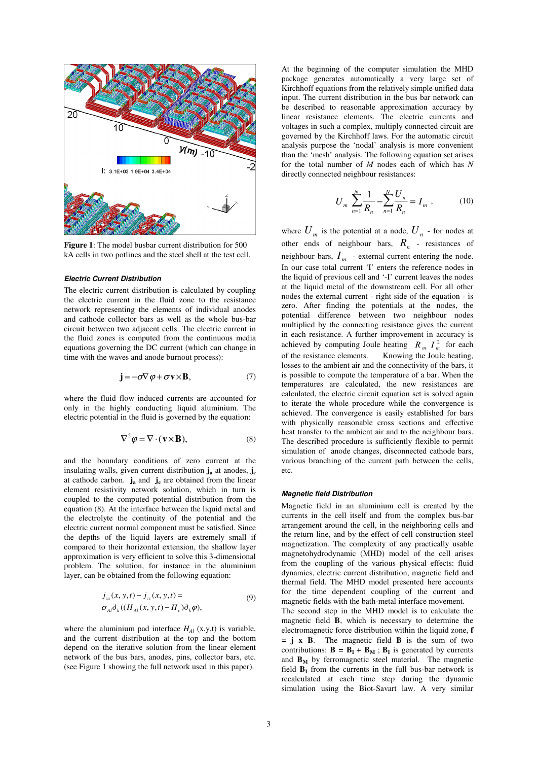

**Figure 1**: The model busbar current distribution for 500 kA cells in two potlines and the steel shell at the test cell.

#### *Electric Current Distribution*

The electric current distribution is calculated by coupling the electric current in the fluid zone to the resistance network representing the elements of individual anodes and cathode collector bars as well as the whole bus-bar circuit between two adjacent cells. The electric current in the fluid zones is computed from the continuous media equations governing the DC current (which can change in time with the waves and anode burnout process):

$$
\mathbf{j} = -\sigma \nabla \varphi + \sigma \mathbf{v} \times \mathbf{B},\tag{7}
$$

where the fluid flow induced currents are accounted for only in the highly conducting liquid aluminium. The electric potential in the fluid is governed by the equation:

$$
\nabla^2 \varphi = \nabla \cdot (\mathbf{v} \times \mathbf{B}),\tag{8}
$$

and the boundary conditions of zero current at the insulating walls, given current distribution **j<sup>a</sup>** at anodes, **j<sup>c</sup>** at cathode carbon. **j<sup>a</sup>** and **j<sup>c</sup>** are obtained from the linear element resistivity network solution, which in turn is coupled to the computed potential distribution from the equation (8). At the interface between the liquid metal and the electrolyte the continuity of the potential and the electric current normal component must be satisfied. Since the depths of the liquid layers are extremely small if compared to their horizontal extension, the shallow layer approximation is very efficient to solve this 3-dimensional problem. The solution, for instance in the aluminium layer, can be obtained from the following equation:

$$
j_{z\alpha}(x, y, t) - j_{z\alpha}(x, y, t) =
$$
  
\n
$$
\sigma_{Al}\partial_k((H_{Al}(x, y, t) - H_c)\partial_k\varphi),
$$
\n(9)

where the aluminium pad interface  $H_{AI}$  (x,y,t) is variable, and the current distribution at the top and the bottom depend on the iterative solution from the linear element network of the bus bars, anodes, pins, collector bars, etc. (see Figure 1 showing the full network used in this paper).

At the beginning of the computer simulation the MHD package generates automatically a very large set of Kirchhoff equations from the relatively simple unified data input. The current distribution in the bus bar network can be described to reasonable approximation accuracy by linear resistance elements. The electric currents and voltages in such a complex, multiply connected circuit are governed by the Kirchhoff laws. For the automatic circuit analysis purpose the 'nodal' analysis is more convenient than the 'mesh' analysis. The following equation set arises for the total number of *M* nodes each of which has *N* directly connected neighbour resistances:

$$
U_m \sum_{n=1}^{N} \frac{1}{R_n} - \sum_{n=1}^{N} \frac{U_n}{R_n} = I_m , \qquad (10)
$$

where  $U_m$  is the potential at a node,  $U_n$  - for nodes at other ends of neighbour bars,  $R_n$  - resistances of neighbour bars,  $I_m$  - external current entering the node. In our case total current 'I' enters the reference nodes in the liquid of previous cell and '-I' current leaves the nodes at the liquid metal of the downstream cell. For all other nodes the external current - right side of the equation - is zero. After finding the potentials at the nodes, the potential difference between two neighbour nodes multiplied by the connecting resistance gives the current in each resistance. A further improvement in accuracy is achieved by computing Joule heating  $R_m I_m^2$  for each of the resistance elements. Knowing the Joule heating, losses to the ambient air and the connectivity of the bars, it is possible to compute the temperature of a bar. When the temperatures are calculated, the new resistances are calculated, the electric circuit equation set is solved again to iterate the whole procedure while the convergence is achieved. The convergence is easily established for bars with physically reasonable cross sections and effective heat transfer to the ambient air and to the neighbour bars. The described procedure is sufficiently flexible to permit simulation of anode changes, disconnected cathode bars, various branching of the current path between the cells, etc.

#### *Magnetic field Distribution*

Magnetic field in an aluminium cell is created by the currents in the cell itself and from the complex bus-bar arrangement around the cell, in the neighboring cells and the return line, and by the effect of cell construction steel magnetization. The complexity of any practically usable magnetohydrodynamic (MHD) model of the cell arises from the coupling of the various physical effects: fluid dynamics, electric current distribution, magnetic field and thermal field. The MHD model presented here accounts for the time dependent coupling of the current and magnetic fields with the bath-metal interface movement.

The second step in the MHD model is to calculate the magnetic field **B**, which is necessary to determine the electromagnetic force distribution within the liquid zone, **f = j x B**. The magnetic field **B** is the sum of two contributions:  $\mathbf{B} = \mathbf{B}_{\mathbf{I}} + \mathbf{B}_{\mathbf{M}}$ ;  $\mathbf{B}_{\mathbf{I}}$  is generated by currents and  $\mathbf{B}_{\mathbf{M}}$  by ferromagnetic steel material. The magnetic field  $\mathbf{B}_{\mathbf{I}}$  from the currents in the full bus-bar network is recalculated at each time step during the dynamic simulation using the Biot-Savart law. A very similar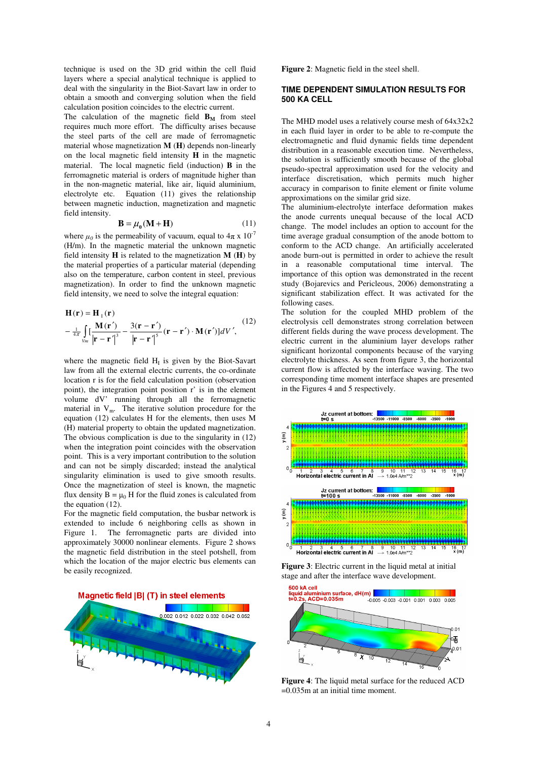technique is used on the 3D grid within the cell fluid layers where a special analytical technique is applied to deal with the singularity in the Biot-Savart law in order to obtain a smooth and converging solution when the field calculation position coincides to the electric current.

The calculation of the magnetic field  $\mathbf{B}_M$  from steel requires much more effort. The difficulty arises because the steel parts of the cell are made of ferromagnetic material whose magnetization **M** (**H**) depends non-linearly on the local magnetic field intensity **H** in the magnetic material. The local magnetic field (induction) **B** in the ferromagnetic material is orders of magnitude higher than in the non-magnetic material, like air, liquid aluminium, electrolyte etc. Equation (11) gives the relationship between magnetic induction, magnetization and magnetic field intensity.

$$
\mathbf{B} = \mu_0 (\mathbf{M} + \mathbf{H}) \tag{11}
$$

where  $\mu_0$  is the permeability of vacuum, equal to  $4\pi \times 10^{-7}$ (H/m). In the magnetic material the unknown magnetic field intensity **H** is related to the magnetization **M** (**H**) by the material properties of a particular material (depending also on the temperature, carbon content in steel, previous magnetization). In order to find the unknown magnetic field intensity, we need to solve the integral equation:

$$
\mathbf{H}(\mathbf{r}) = \mathbf{H}_{\mathrm{T}}(\mathbf{r})
$$
  
\n
$$
-\frac{1}{4\pi} \int_{V_{m}} \left[\frac{\mathbf{M}(\mathbf{r}')}{|\mathbf{r} - \mathbf{r}'|^{3}} - \frac{3(\mathbf{r} - \mathbf{r}')}{|\mathbf{r} - \mathbf{r}'|^{5}} (\mathbf{r} - \mathbf{r}') \cdot \mathbf{M}(\mathbf{r}') \right] dV',
$$
\n(12)

where the magnetic field  $H<sub>I</sub>$  is given by the Biot-Savart law from all the external electric currents, the co-ordinate location r is for the field calculation position (observation point), the integration point position r' is in the element volume dV' running through all the ferromagnetic material in  $V_m$ . The iterative solution procedure for the equation (12) calculates H for the elements, then uses M (H) material property to obtain the updated magnetization. The obvious complication is due to the singularity in (12) when the integration point coincides with the observation point. This is a very important contribution to the solution and can not be simply discarded; instead the analytical singularity elimination is used to give smooth results. Once the magnetization of steel is known, the magnetic flux density  $B = \mu_0 H$  for the fluid zones is calculated from the equation (12).

For the magnetic field computation, the busbar network is extended to include 6 neighboring cells as shown in Figure 1. The ferromagnetic parts are divided into approximately 30000 nonlinear elements. Figure 2 shows the magnetic field distribution in the steel potshell, from which the location of the major electric bus elements can be easily recognized.

Magnetic field |B| (T) in steel elements



**Figure 2**: Magnetic field in the steel shell.

# **TIME DEPENDENT SIMULATION RESULTS FOR 500 KA CELL**

The MHD model uses a relatively course mesh of 64x32x2 in each fluid layer in order to be able to re-compute the electromagnetic and fluid dynamic fields time dependent distribution in a reasonable execution time. Nevertheless, the solution is sufficiently smooth because of the global pseudo-spectral approximation used for the velocity and interface discretisation, which permits much higher accuracy in comparison to finite element or finite volume approximations on the similar grid size.

The aluminium-electrolyte interface deformation makes the anode currents unequal because of the local ACD change. The model includes an option to account for the time average gradual consumption of the anode bottom to conform to the ACD change. An artificially accelerated anode burn-out is permitted in order to achieve the result in a reasonable computational time interval. The importance of this option was demonstrated in the recent study (Bojarevics and Pericleous, 2006) demonstrating a significant stabilization effect. It was activated for the following cases.

The solution for the coupled MHD problem of the electrolysis cell demonstrates strong correlation between different fields during the wave process development. The electric current in the aluminium layer develops rather significant horizontal components because of the varying electrolyte thickness. As seen from figure 3, the horizontal current flow is affected by the interface waving. The two corresponding time moment interface shapes are presented in the Figures 4 and 5 respectively.



**Figure 3**: Electric current in the liquid metal at initial stage and after the interface wave development.



**Figure 4**: The liquid metal surface for the reduced ACD =0.035m at an initial time moment.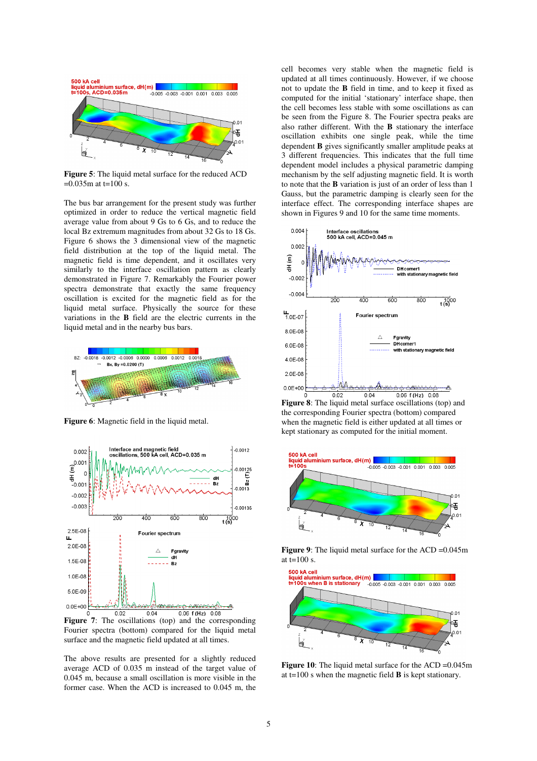

**Figure 5**: The liquid metal surface for the reduced ACD  $=0.035$ m at t=100 s.

The bus bar arrangement for the present study was further optimized in order to reduce the vertical magnetic field average value from about 9 Gs to 6 Gs, and to reduce the local Bz extremum magnitudes from about 32 Gs to 18 Gs. Figure 6 shows the 3 dimensional view of the magnetic field distribution at the top of the liquid metal. The magnetic field is time dependent, and it oscillates very similarly to the interface oscillation pattern as clearly demonstrated in Figure 7. Remarkably the Fourier power spectra demonstrate that exactly the same frequency oscillation is excited for the magnetic field as for the liquid metal surface. Physically the source for these variations in the **B** field are the electric currents in the liquid metal and in the nearby bus bars.



**Figure 6**: Magnetic field in the liquid metal.



**Figure 7**: The oscillations (top) and the corresponding Fourier spectra (bottom) compared for the liquid metal surface and the magnetic field updated at all times.

The above results are presented for a slightly reduced average ACD of 0.035 m instead of the target value of 0.045 m, because a small oscillation is more visible in the former case. When the ACD is increased to 0.045 m, the cell becomes very stable when the magnetic field is updated at all times continuously. However, if we choose not to update the **B** field in time, and to keep it fixed as computed for the initial 'stationary' interface shape, then the cell becomes less stable with some oscillations as can be seen from the Figure 8. The Fourier spectra peaks are also rather different. With the **B** stationary the interface oscillation exhibits one single peak, while the time dependent **B** gives significantly smaller amplitude peaks at 3 different frequencies. This indicates that the full time dependent model includes a physical parametric damping mechanism by the self adjusting magnetic field. It is worth to note that the **B** variation is just of an order of less than 1 Gauss, but the parametric damping is clearly seen for the interface effect. The corresponding interface shapes are shown in Figures 9 and 10 for the same time moments.



**Figure 8**: The liquid metal surface oscillations (top) and the corresponding Fourier spectra (bottom) compared when the magnetic field is either updated at all times or kept stationary as computed for the initial moment.



**Figure 9**: The liquid metal surface for the ACD = 0.045m at  $t=100$  s.



**Figure 10**: The liquid metal surface for the ACD = 0.045m at t=100 s when the magnetic field **B** is kept stationary.